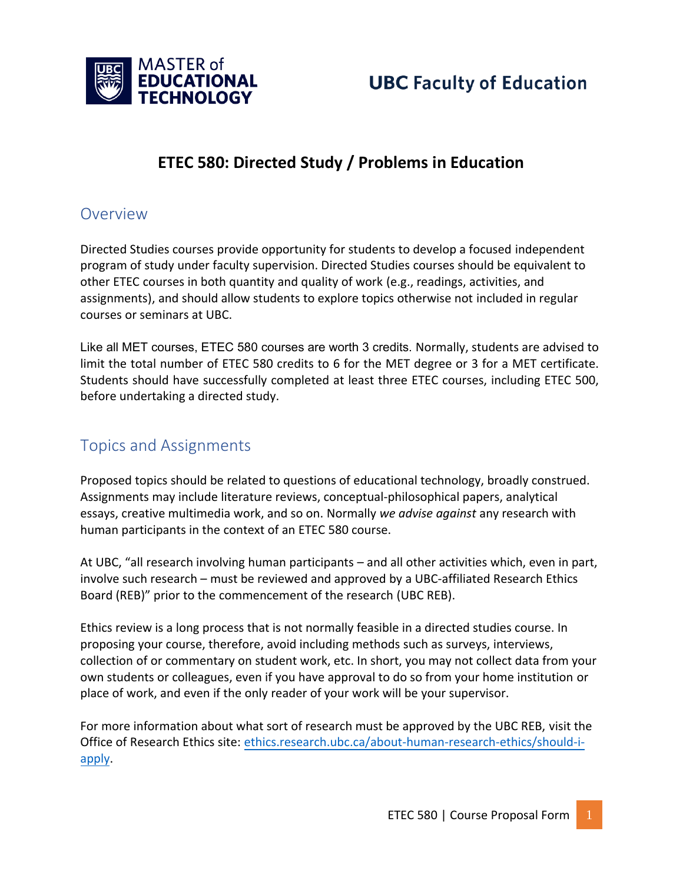

### **ETEC 580: Directed Study / Problems in Education**

### Overview

Directed Studies courses provide opportunity for students to develop a focused independent program of study under faculty supervision. Directed Studies courses should be equivalent to other ETEC courses in both quantity and quality of work (e.g., readings, activities, and assignments), and should allow students to explore topics otherwise not included in regular courses or seminars at UBC.

Like all MET courses, ETEC 580 courses are worth 3 credits. Normally, students are advised to limit the total number of ETEC 580 credits to 6 for the MET degree or 3 for a MET certificate. Students should have successfully completed at least three ETEC courses, including ETEC 500, before undertaking a directed study.

### Topics and Assignments

Proposed topics should be related to questions of educational technology, broadly construed. Assignments may include literature reviews, conceptual-philosophical papers, analytical essays, creative multimedia work, and so on. Normally *we advise against* any research with human participants in the context of an ETEC 580 course.

At UBC, "all research involving human participants – and all other activities which, even in part, involve such research – must be reviewed and approved by a UBC-affiliated Research Ethics Board (REB)" prior to the commencement of the research (UBC REB).

Ethics review is a long process that is not normally feasible in a directed studies course. In proposing your course, therefore, avoid including methods such as surveys, interviews, collection of or commentary on student work, etc. In short, you may not collect data from your own students or colleagues, even if you have approval to do so from your home institution or place of work, and even if the only reader of your work will be your supervisor.

For more information about [what sort of research must be approved by the UBC REB, visit the](https://ethics.research.ubc.ca/about-human-research-ethics/should-i-apply)  [Office](https://ethics.research.ubc.ca/about-human-research-ethics/should-i-apply) of Research Ethics site: ethics.research.ubc.ca/about-human-research-ethics/should-iapply.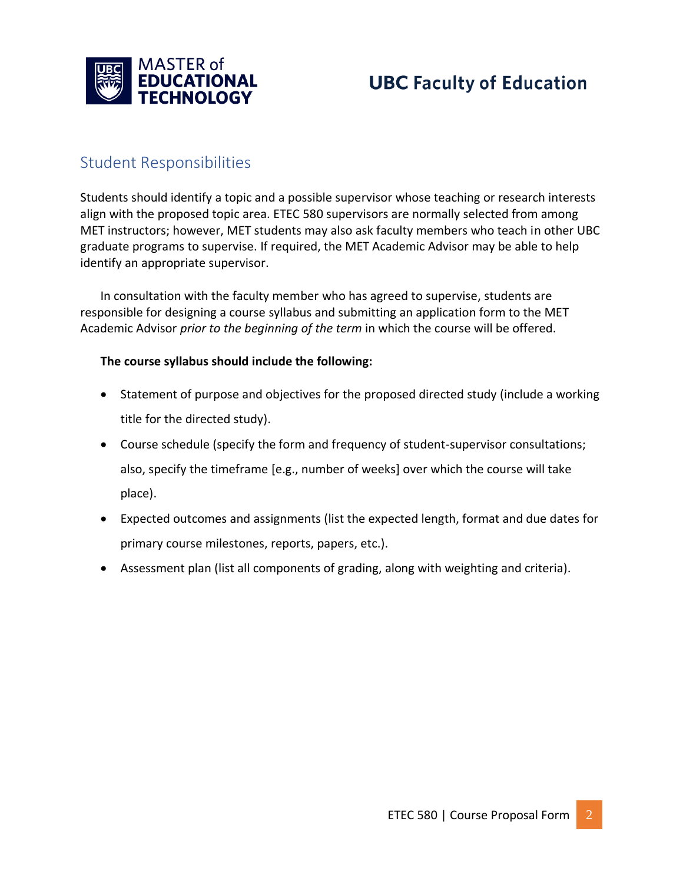

### Student Responsibilities

Students should identify a topic and a possible supervisor whose teaching or research interests align with the proposed topic area. ETEC 580 supervisors are normally selected from among MET instructors; however, MET students may also ask faculty members who teach in other UBC graduate programs to supervise. If required, the MET Academic Advisor may be able to help identify an appropriate supervisor.

In consultation with the faculty member who has agreed to supervise, students are responsible for designing a course syllabus and submitting an application form to the MET Academic Advisor *prior to the beginning of the term* in which the course will be offered.

#### **The course syllabus should include the following:**

- Statement of purpose and objectives for the proposed directed study (include a working title for the directed study).
- Course schedule (specify the form and frequency of student-supervisor consultations; also, specify the timeframe [e.g., number of weeks] over which the course will take place).
- Expected outcomes and assignments (list the expected length, format and due dates for primary course milestones, reports, papers, etc.).
- Assessment plan (list all components of grading, along with weighting and criteria).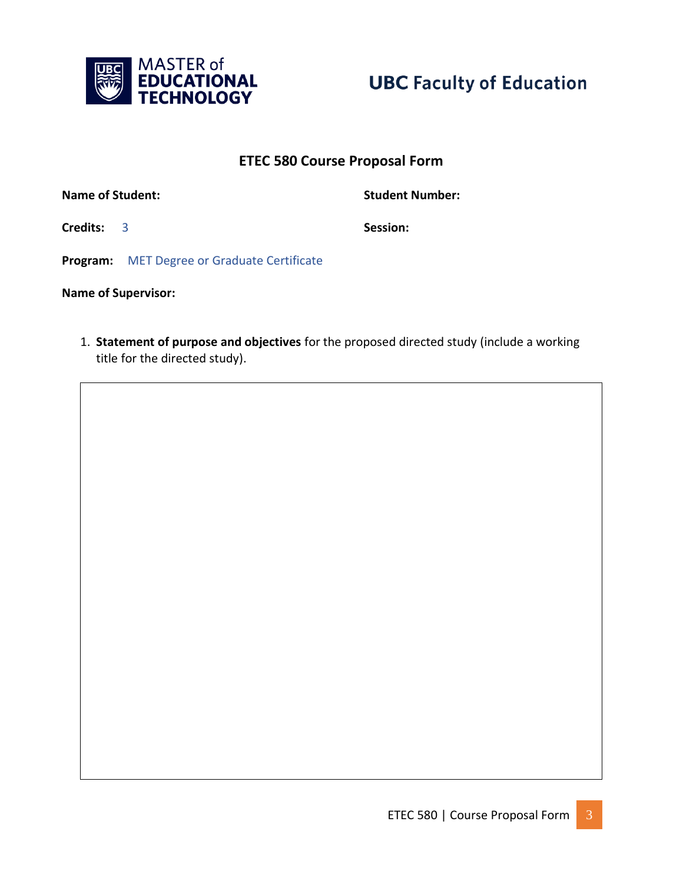



#### **ETEC 580 Course Proposal Form**

**Name of Student:** Name of Student:

**Credits:** 3 **Session:** 

**Program:** MET Degree or Graduate Certificate

**Name of Supervisor:** 

1. **Statement of purpose and objectives** for the proposed directed study (include a working title for the directed study).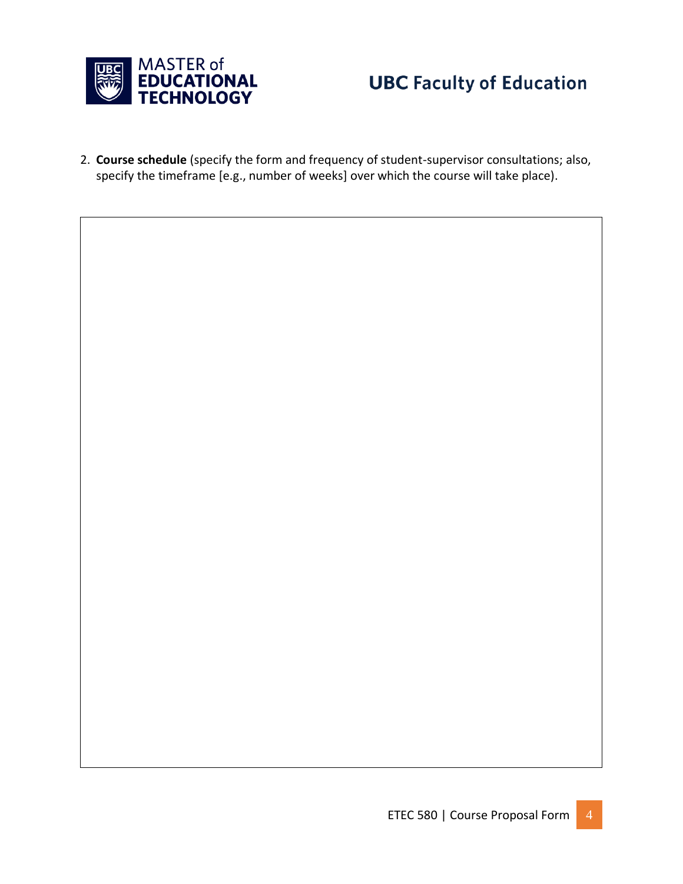

2. **Course schedule** (specify the form and frequency of student-supervisor consultations; also, specify the timeframe [e.g., number of weeks] over which the course will take place).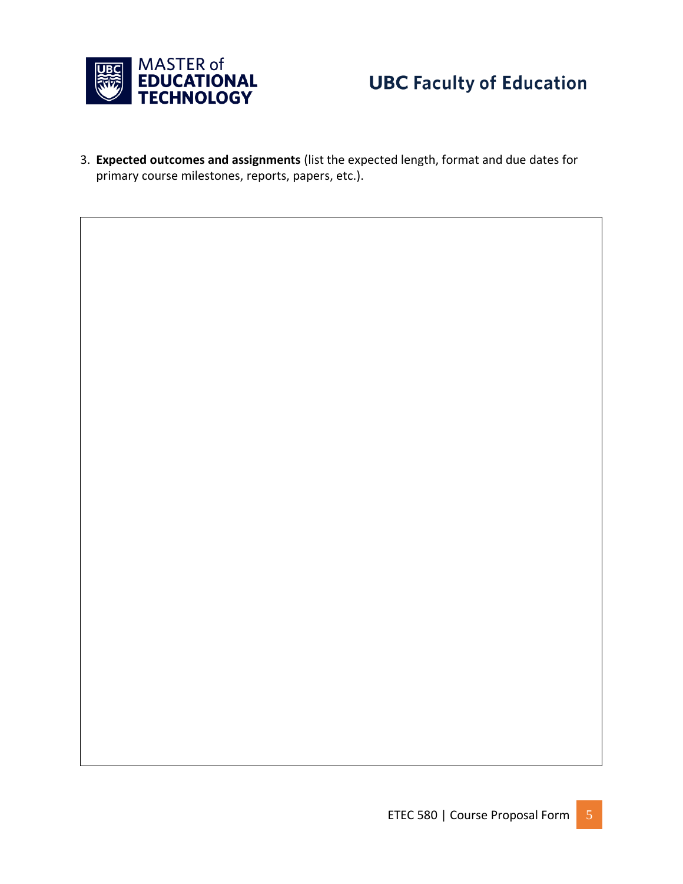

3. **Expected outcomes and assignments** (list the expected length, format and due dates for primary course milestones, reports, papers, etc.).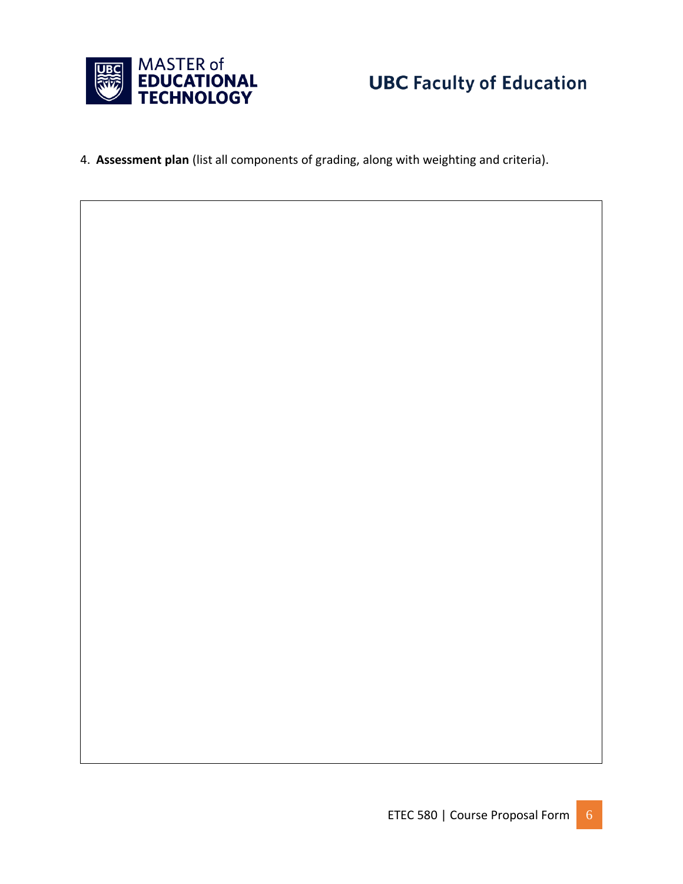

4. **Assessment plan** (list all components of grading, along with weighting and criteria).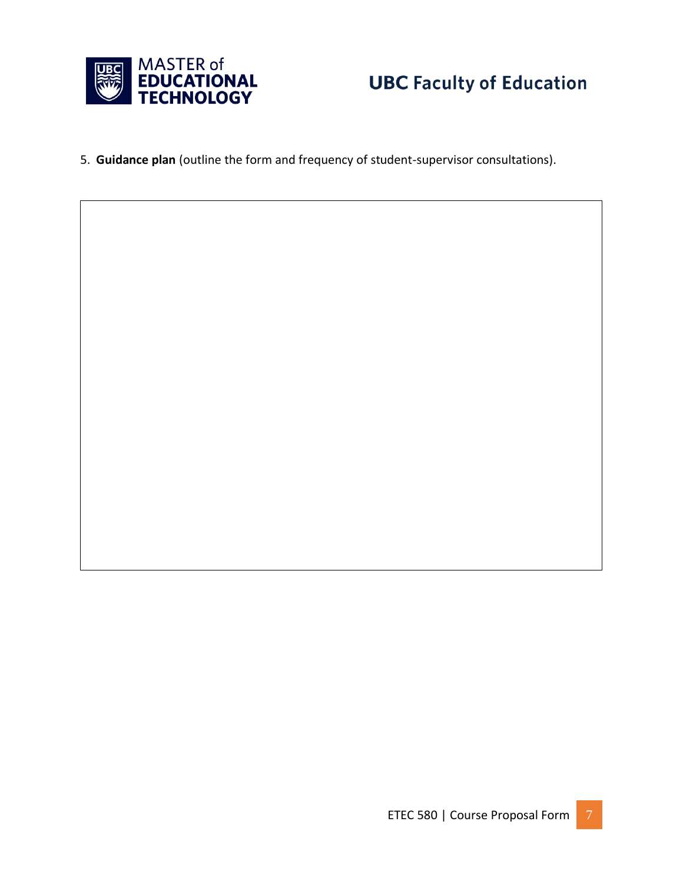

5. **Guidance plan** (outline the form and frequency of student-supervisor consultations).